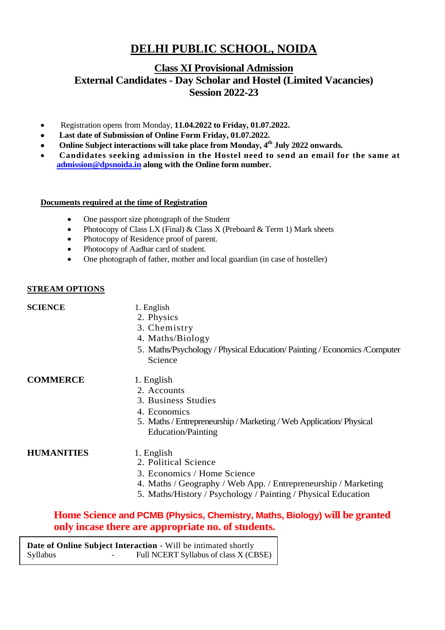# **DELHI PUBLIC SCHOOL, NOIDA**

# **Class XI Provisional Admission External Candidates - Day Scholar and Hostel (Limited Vacancies) Session 2022-23**

- Registration opens from Monday, **11.04.2022 to Friday, 01.07.2022.**
- **Last date of Submission of Online Form Friday, 01.07.2022.**
- **•** Online Subject interactions will take place from Monday, 4<sup>th</sup> July 2022 onwards.
- **Candidates seeking admission in the Hostel need to send an email for the same at [admission@dpsnoida.in](mailto:admission@dpsnoida.in) along with the Online form number.**

#### **Documents required at the time of Registration**

- One passport size photograph of the Student
- Photocopy of Class LX (Final)  $& Class X$  (Preboard  $& Term 1$ ) Mark sheets
- Photocopy of Residence proof of parent.
- Photocopy of Aadhar card of student.
- One photograph of father, mother and local guardian (in case of hosteller)

#### **STREAM OPTIONS**

#### **SCIENCE** 1. English

- 2. Physics
- 3. Chemistry
- 4. Maths/Biology
- 5. Maths/Psychology / Physical Education/ Painting / Economics /Computer Science

**COMMERCE** 1. English

- 2. Accounts
- 3. Business Studies
- 4. Economics
- 5. Maths / Entrepreneurship / Marketing / Web Application/ Physical Education/Painting

### **HUMANITIES** 1. English

- 2. Political Science
- 3. Economics / Home Science
- 4. Maths / Geography / Web App. / Entrepreneurship / Marketing
- 5. Maths/History / Psychology / Painting / Physical Education

## **Home Science and PCMB (Physics, Chemistry, Maths, Biology) will be granted only incase there are appropriate no. of students.**

**Date of Online Subject Interaction** - Will be intimated shortly Syllabus - Full NCERT Syllabus of class X (CBSE)